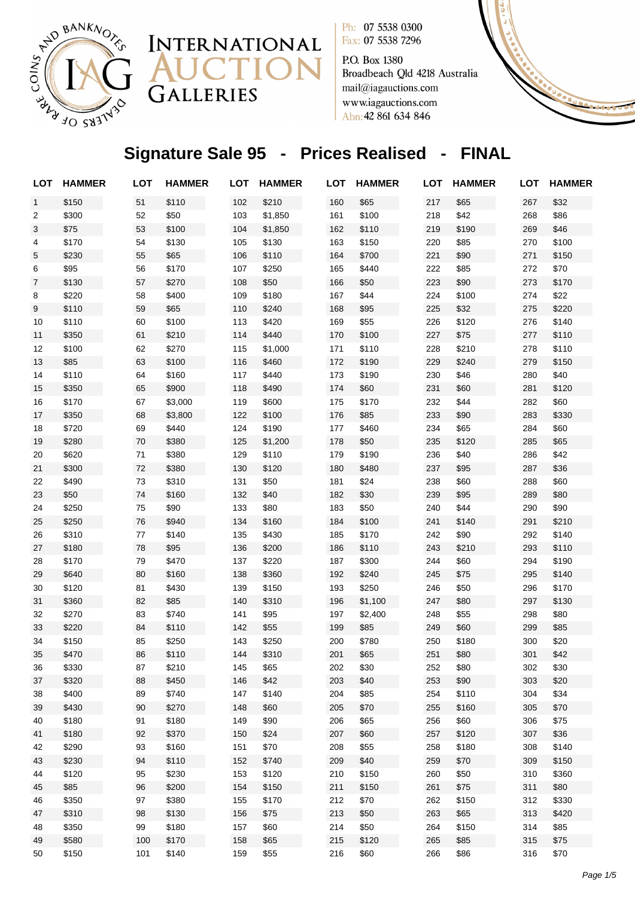

P.O. Box 1380 Broadbeach Qld 4218 Australia mail@iagauctions.com www.iagauctions.com Abn: 42 861 634 846

# **Signature Sale 95 - Prices Realised - FINAL**

INTERNATIONAL

CTI

GALLERIES

| <b>LOT</b>   | <b>HAMMER</b> | <b>LOT</b> | <b>HAMMER</b>  | <b>LOT</b> | <b>HAMMER</b> | LOT        | <b>HAMMER</b> | LOT        | <b>HAMMER</b> | <b>LOT</b> | <b>HAMMER</b> |
|--------------|---------------|------------|----------------|------------|---------------|------------|---------------|------------|---------------|------------|---------------|
| $\mathbf{1}$ | \$150         | 51         | \$110          | 102        | \$210         | 160        | \$65          | 217        | \$65          | 267        | \$32          |
| 2            | \$300         | 52         | \$50           | 103        | \$1,850       | 161        | \$100         | 218        | \$42          | 268        | \$86          |
| 3            | \$75          | 53         | \$100          | 104        | \$1,850       | 162        | \$110         | 219        | \$190         | 269        | \$46          |
| 4            | \$170         | 54         | \$130          | 105        | \$130         | 163        | \$150         | 220        | \$85          | 270        | \$100         |
| 5            | \$230         | 55         | \$65           | 106        | \$110         | 164        | \$700         | 221        | \$90          | 271        | \$150         |
| 6            | \$95          | 56         | \$170          | 107        | \$250         | 165        | \$440         | 222        | \$85          | 272        | \$70          |
| 7            | \$130         | 57         | \$270          | 108        | \$50          | 166        | \$50          | 223        | \$90          | 273        | \$170         |
| 8            | \$220         | 58         | \$400          | 109        | \$180         | 167        | \$44          | 224        | \$100         | 274        | \$22          |
| 9            | \$110         | 59         | \$65           | 110        | \$240         | 168        | \$95          | 225        | \$32          | 275        | \$220         |
| 10           | \$110         | 60         | \$100          | 113        | \$420         | 169        | \$55          | 226        | \$120         | 276        | \$140         |
| 11           | \$350         | 61         | \$210          | 114        | \$440         | 170        | \$100         | 227        | \$75          | 277        | \$110         |
| 12           | \$100         | 62         | \$270          | 115        | \$1,000       | 171        | \$110         | 228        | \$210         | 278        | \$110         |
| 13           | \$85          | 63         | \$100          | 116        | \$460         | 172        | \$190         | 229        | \$240         | 279        | \$150         |
| 14           | \$110         | 64         | \$160          | 117        | \$440         | 173        | \$190         | 230        | \$46          | 280        | \$40          |
| 15           | \$350         | 65         | \$900          | 118        | \$490         | 174        | \$60          | 231        | \$60          | 281        | \$120         |
| 16           | \$170         | 67         | \$3,000        | 119        | \$600         | 175        | \$170         | 232        | \$44          | 282        | \$60          |
| 17           | \$350         | 68         | \$3,800        | 122        | \$100         | 176        | \$85          | 233        | \$90          | 283        | \$330         |
| 18           | \$720         | 69         | \$440          | 124        | \$190         | 177        | \$460         | 234        | \$65          | 284        | \$60          |
| 19           | \$280         | 70         | \$380          | 125        | \$1,200       | 178        | \$50          | 235        | \$120         | 285        | \$65          |
| 20           | \$620         | 71         | \$380          | 129        | \$110         | 179        | \$190         | 236        | \$40          | 286        | \$42          |
| 21           | \$300         | 72         | \$380          | 130        | \$120         | 180        | \$480         | 237        | \$95          | 287        | \$36          |
| 22           | \$490         | 73         | \$310          | 131        | \$50          | 181        | \$24          | 238        | \$60          | 288        | \$60          |
| 23           | \$50          | 74         | \$160          | 132        | \$40          | 182        | \$30          | 239        | \$95          | 289        | \$80          |
| 24           | \$250         | 75         | \$90           | 133        | \$80          | 183        | \$50          | 240        | \$44          | 290        | \$90          |
| 25           | \$250         | 76         | \$940          | 134        | \$160         | 184        | \$100         | 241        | \$140         | 291        | \$210         |
| 26           | \$310         | 77         | \$140          | 135        | \$430         | 185        | \$170         | 242        | \$90          | 292        | \$140         |
| 27           | \$180         | 78         | \$95           | 136        | \$200         | 186        | \$110         | 243        | \$210         | 293        | \$110         |
| 28           | \$170         | 79         | \$470          | 137        | \$220         | 187        | \$300         | 244        | \$60          | 294        | \$190         |
| 29           | \$640         | 80         | \$160          | 138        | \$360         | 192        | \$240         | 245        | \$75          | 295        | \$140         |
| 30           | \$120         | 81         | \$430          | 139        | \$150         | 193        | \$250         | 246        | \$50          | 296        | \$170         |
| 31           | \$360         | 82         | \$85           | 140        | \$310         | 196        | \$1,100       | 247        | \$80          | 297        | \$130         |
| 32           | \$270         | 83         | \$740          | 141        | \$95          | 197        | \$2,400       | 248        | \$55          | 298        | \$80          |
| 33           | \$220         | 84         | \$110          | 142        | \$55          | 199        | \$85          | 249        | \$60          | 299        | \$85          |
| 34           | \$150         | 85         | \$250          | 143        | \$250         | 200        | \$780         | 250        | \$180         | 300        | \$20          |
| 35           | \$470         | 86         | \$110          | 144        | \$310         | 201        | \$65          | 251        | \$80          | 301        | \$42          |
| 36           | \$330         | 87         | \$210          | 145        | \$65          | 202        | \$30          | 252        | \$80          | 302        | \$30          |
| 37           | \$320         | 88         | \$450          | 146        | \$42          | 203        | \$40          | 253        | \$90          | 303        | \$20          |
| 38           | \$400         | 89         | \$740          | 147        | \$140         | 204        | \$85          | 254        | \$110         | 304        | \$34          |
| 39           | \$430         | 90         | \$270          | 148        | \$60          | 205        | \$70          | 255        | \$160         | 305        | \$70          |
| 40           | \$180         | 91         | \$180          | 149        | \$90          | 206        | \$65          | 256        | \$60          | 306        | \$75          |
| 41           | \$180         | 92         | \$370          | 150        | \$24          | 207        | \$60          | 257        | \$120         | 307        | \$36          |
| 42           | \$290         | 93         | \$160          | 151        | \$70          | 208        | \$55          | 258        | \$180         | 308        | \$140         |
| 43           | \$230         | 94         | \$110          | 152        | \$740         | 209        | \$40          | 259        | \$70          | 309        | \$150         |
| 44           | \$120<br>\$85 | 95         | \$230<br>\$200 | 153        | \$120         | 210        | \$150         | 260<br>261 | \$50          | 310<br>311 | \$360         |
| 45<br>46     | \$350         | 96<br>97   | \$380          | 154<br>155 | \$150         | 211        | \$150<br>\$70 | 262        | \$75<br>\$150 | 312        | \$80<br>\$330 |
| 47           | \$310         |            | \$130          |            | \$170         | 212        | \$50          | 263        |               |            |               |
| 48           | \$350         | 98<br>99   | \$180          | 156<br>157 | \$75          | 213<br>214 | \$50          | 264        | \$65          | 313<br>314 | \$420         |
| 49           | \$580         | 100        | \$170          | 158        | \$60          |            |               | 265        | \$150         | 315        | \$85<br>\$75  |
|              |               |            |                |            | \$65          | 215        | \$120         |            | \$85          |            |               |
| 50           | \$150         | 101        | \$140          | 159        | \$55          | 216        | \$60          | 266        | \$86          | 316        | \$70          |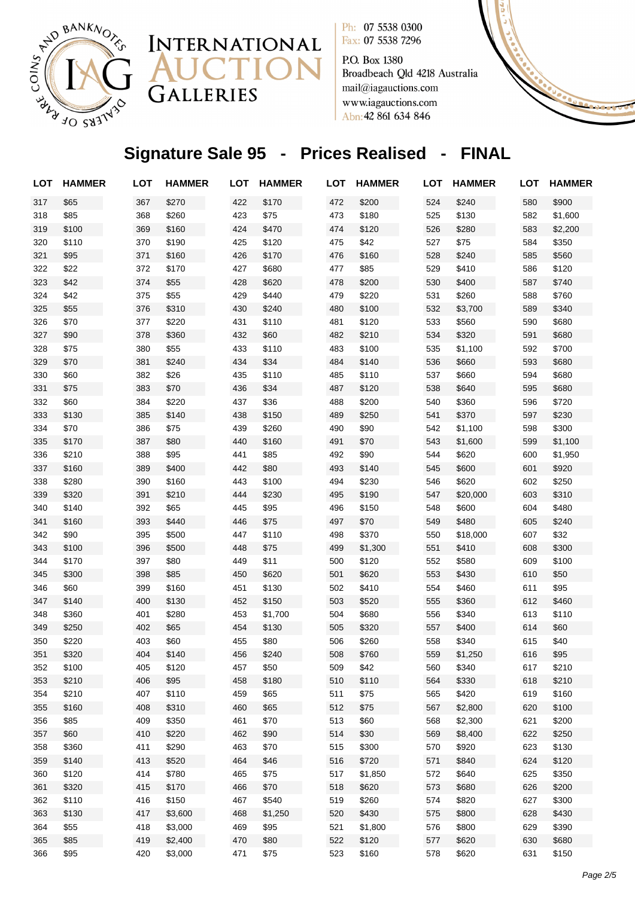

P.O. Box 1380 Broadbeach Qld 4218 Australia mail@iagauctions.com www.iagauctions.com Abn: 42 861 634 846

# **Signature Sale 95 - Prices Realised - FINAL**

INTERNATIONAL

CTI

GALLERIES

| <b>LOT</b> | <b>HAMMER</b> | <b>LOT</b> | <b>HAMMER</b> | <b>LOT</b> | <b>HAMMER</b> | <b>LOT</b> | <b>HAMMER</b> | <b>LOT</b> | <b>HAMMER</b> | <b>LOT</b> | <b>HAMMER</b> |
|------------|---------------|------------|---------------|------------|---------------|------------|---------------|------------|---------------|------------|---------------|
| 317        | \$65          | 367        | \$270         | 422        | \$170         | 472        | \$200         | 524        | \$240         | 580        | \$900         |
| 318        | \$85          | 368        | \$260         | 423        | \$75          | 473        | \$180         | 525        | \$130         | 582        | \$1,600       |
| 319        | \$100         | 369        | \$160         | 424        | \$470         | 474        | \$120         | 526        | \$280         | 583        | \$2,200       |
| 320        | \$110         | 370        | \$190         | 425        | \$120         | 475        | \$42          | 527        | \$75          | 584        | \$350         |
| 321        | \$95          | 371        | \$160         | 426        | \$170         | 476        | \$160         | 528        | \$240         | 585        | \$560         |
| 322        | \$22          | 372        | \$170         | 427        | \$680         | 477        | \$85          | 529        | \$410         | 586        | \$120         |
| 323        | \$42          | 374        | \$55          | 428        | \$620         | 478        | \$200         | 530        | \$400         | 587        | \$740         |
| 324        | \$42          | 375        | \$55          | 429        | \$440         | 479        | \$220         | 531        | \$260         | 588        | \$760         |
| 325        | \$55          | 376        | \$310         | 430        | \$240         | 480        | \$100         | 532        | \$3,700       | 589        | \$340         |
| 326        | \$70          | 377        | \$220         | 431        | \$110         | 481        | \$120         | 533        | \$560         | 590        | \$680         |
| 327        | \$90          | 378        | \$360         | 432        | \$60          | 482        | \$210         | 534        | \$320         | 591        | \$680         |
| 328        | \$75          | 380        | \$55          | 433        | \$110         | 483        | \$100         | 535        | \$1,100       | 592        | \$700         |
| 329        | \$70          | 381        | \$240         | 434        | \$34          | 484        | \$140         | 536        | \$660         | 593        | \$680         |
| 330        | \$60          | 382        | \$26          | 435        | \$110         | 485        | \$110         | 537        | \$660         | 594        | \$680         |
| 331        | \$75          | 383        | \$70          | 436        | \$34          | 487        | \$120         | 538        | \$640         | 595        | \$680         |
| 332        | \$60          | 384        | \$220         | 437        | \$36          | 488        | \$200         | 540        | \$360         | 596        | \$720         |
| 333        | \$130         | 385        | \$140         | 438        | \$150         | 489        | \$250         | 541        | \$370         | 597        | \$230         |
| 334        | \$70          | 386        | \$75          | 439        | \$260         | 490        | \$90          | 542        | \$1,100       | 598        | \$300         |
| 335        | \$170         | 387        | \$80          | 440        | \$160         | 491        | \$70          | 543        | \$1,600       | 599        | \$1,100       |
| 336        | \$210         | 388        | \$95          | 441        | \$85          | 492        | \$90          | 544        | \$620         | 600        | \$1,950       |
| 337        | \$160         | 389        | \$400         | 442        | \$80          | 493        | \$140         | 545        | \$600         | 601        | \$920         |
| 338        | \$280         | 390        | \$160         | 443        | \$100         | 494        | \$230         | 546        | \$620         | 602        | \$250         |
| 339        | \$320         | 391        | \$210         | 444        | \$230         | 495        | \$190         | 547        | \$20,000      | 603        | \$310         |
| 340        | \$140         | 392        | \$65          | 445        | \$95          | 496        | \$150         | 548        | \$600         | 604        | \$480         |
| 341        | \$160         | 393        | \$440         | 446        | \$75          | 497        | \$70          | 549        | \$480         | 605        | \$240         |
| 342        | \$90          | 395        | \$500         | 447        | \$110         | 498        | \$370         | 550        | \$18,000      | 607        | \$32          |
| 343        | \$100         | 396        | \$500         | 448        | \$75          | 499        | \$1,300       | 551        | \$410         | 608        | \$300         |
| 344        | \$170         | 397        | \$80          | 449        | \$11          | 500        | \$120         | 552        | \$580         | 609        | \$100         |
| 345        | \$300         | 398        | \$85          | 450        | \$620         | 501        | \$620         | 553        | \$430         | 610        | \$50          |
| 346        | \$60          | 399        | \$160         | 451        | \$130         | 502        | \$410         | 554        | \$460         | 611        | \$95          |
| 347        | \$140         | 400        | \$130         | 452        | \$150         | 503        | \$520         | 555        | \$360         | 612        | \$460         |
| 348        | \$360         | 401        | \$280         | 453        | \$1,700       | 504        | \$680         | 556        | \$340         | 613        | \$110         |
| 349        | \$250         | 402        | \$65          | 454        | \$130         | 505        | \$320         | 557        | \$400         | 614        | \$60          |
| 350        | \$220         | 403        | \$60          | 455        | \$80          | 506        | \$260         | 558        | \$340         | 615        | \$40          |
| 351        | \$320         | 404        | \$140         | 456        | \$240         | 508        | \$760         | 559        | \$1,250       | 616        | \$95          |
| 352        | \$100         | 405        | \$120         | 457        | \$50          | 509        | \$42          | 560        | \$340         | 617        | \$210         |
| 353        | \$210         | 406        | \$95          | 458        | \$180         | 510        | \$110         | 564        | \$330         | 618        | \$210         |
| 354        | \$210         | 407        | \$110         | 459        | \$65          | 511        | \$75          | 565        | \$420         | 619        | \$160         |
| 355        | \$160         | 408        | \$310         | 460        | \$65          | 512        | \$75          | 567        | \$2,800       | 620        | \$100         |
| 356        | \$85          | 409        | \$350         | 461        | \$70          | 513        | \$60          | 568        | \$2,300       | 621        | \$200         |
| 357        | \$60          | 410        | \$220         | 462        | \$90          | 514        | \$30          | 569        | \$8,400       | 622        | \$250         |
| 358        | \$360         | 411        | \$290         | 463        | \$70          | 515        | \$300         | 570        | \$920         | 623        | \$130         |
| 359        | \$140         | 413        | \$520         | 464        | \$46          | 516        | \$720         | 571        | \$840         | 624        | \$120         |
| 360        | \$120         | 414        | \$780         | 465        | \$75          | 517        | \$1,850       | 572        | \$640         | 625        | \$350         |
| 361        | \$320         | 415        | \$170         | 466        | \$70          | 518        | \$620         | 573        | \$680         | 626        | \$200         |
| 362        | \$110         | 416        | \$150         | 467        | \$540         | 519        | \$260         | 574        | \$820         | 627        | \$300         |
| 363        | \$130         | 417        | \$3,600       | 468        | \$1,250       | 520        | \$430         | 575        | \$800         | 628        | \$430         |
| 364        | \$55          | 418        | \$3,000       | 469        | \$95          | 521        | \$1,800       | 576        | \$800         | 629        | \$390         |
| 365        | \$85          | 419        | \$2,400       | 470        | \$80          | 522        | \$120         | 577        | \$620         | 630        | \$680         |
| 366        | \$95          | 420        | \$3,000       | 471        | \$75          | 523        | \$160         | 578        | \$620         | 631        | \$150         |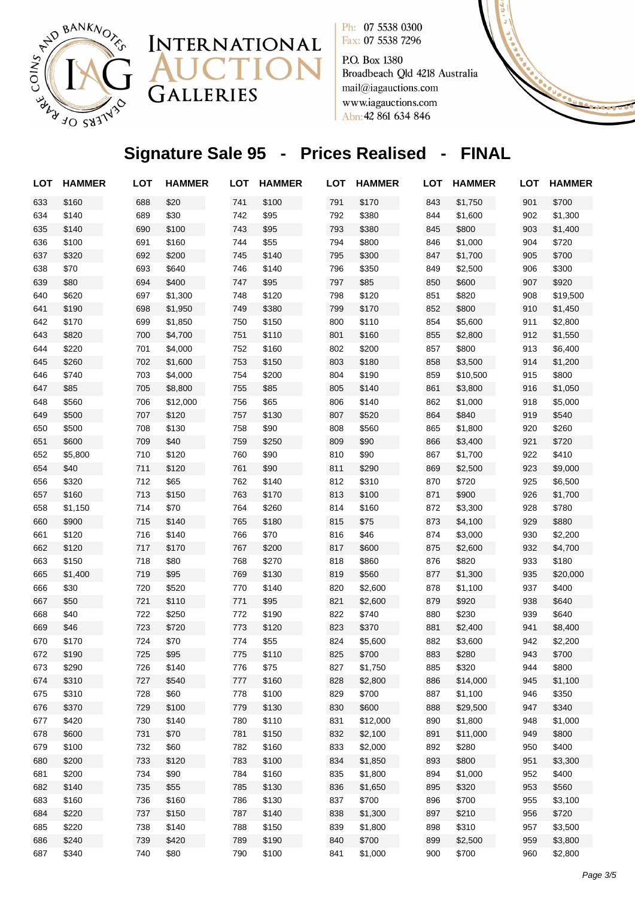

P.O. Box 1380 Broadbeach Qld 4218 Australia mail@iagauctions.com www.iagauctions.com Abn: 42 861 634 846

# **Signature Sale 95 - Prices Realised - FINAL**

INTERNATIONAL

CTI

GALLERIES

| LOT | <b>HAMMER</b> | <b>LOT</b> | <b>HAMMER</b> | <b>LOT</b> | <b>HAMMER</b> | <b>LOT</b> | <b>HAMMER</b> | <b>LOT</b> | <b>HAMMER</b> | <b>LOT</b> | <b>HAMMER</b> |
|-----|---------------|------------|---------------|------------|---------------|------------|---------------|------------|---------------|------------|---------------|
| 633 | \$160         | 688        | \$20          | 741        | \$100         | 791        | \$170         | 843        | \$1,750       | 901        | \$700         |
| 634 | \$140         | 689        | \$30          | 742        | \$95          | 792        | \$380         | 844        | \$1,600       | 902        | \$1,300       |
| 635 | \$140         | 690        | \$100         | 743        | \$95          | 793        | \$380         | 845        | \$800         | 903        | \$1,400       |
| 636 | \$100         | 691        | \$160         | 744        | \$55          | 794        | \$800         | 846        | \$1,000       | 904        | \$720         |
| 637 | \$320         | 692        | \$200         | 745        | \$140         | 795        | \$300         | 847        | \$1,700       | 905        | \$700         |
| 638 | \$70          | 693        | \$640         | 746        | \$140         | 796        | \$350         | 849        | \$2,500       | 906        | \$300         |
| 639 | \$80          | 694        | \$400         | 747        | \$95          | 797        | \$85          | 850        | \$600         | 907        | \$920         |
| 640 | \$620         | 697        | \$1,300       | 748        | \$120         | 798        | \$120         | 851        | \$820         | 908        | \$19,500      |
| 641 | \$190         | 698        | \$1,950       | 749        | \$380         | 799        | \$170         | 852        | \$800         | 910        | \$1,450       |
| 642 | \$170         | 699        | \$1,850       | 750        | \$150         | 800        | \$110         | 854        | \$5,600       | 911        | \$2,800       |
| 643 | \$820         | 700        | \$4,700       | 751        | \$110         | 801        | \$160         | 855        | \$2,800       | 912        | \$1,550       |
| 644 | \$220         | 701        | \$4,000       | 752        | \$160         | 802        | \$200         | 857        | \$800         | 913        | \$6,400       |
| 645 | \$260         | 702        | \$1,600       | 753        | \$150         | 803        | \$180         | 858        | \$3,500       | 914        | \$1,200       |
| 646 | \$740         | 703        | \$4,000       | 754        | \$200         | 804        | \$190         | 859        | \$10,500      | 915        | \$800         |
| 647 | \$85          | 705        | \$8,800       | 755        | \$85          | 805        | \$140         | 861        | \$3,800       | 916        | \$1,050       |
| 648 | \$560         | 706        | \$12,000      | 756        | \$65          | 806        | \$140         | 862        | \$1,000       | 918        | \$5,000       |
| 649 | \$500         | 707        | \$120         | 757        | \$130         | 807        | \$520         | 864        | \$840         | 919        | \$540         |
| 650 | \$500         | 708        | \$130         | 758        | \$90          | 808        | \$560         | 865        | \$1,800       | 920        | \$260         |
| 651 | \$600         | 709        | \$40          | 759        | \$250         | 809        | \$90          | 866        | \$3,400       | 921        | \$720         |
| 652 | \$5,800       | 710        | \$120         | 760        | \$90          | 810        | \$90          | 867        | \$1,700       | 922        | \$410         |
| 654 | \$40          | 711        | \$120         | 761        | \$90          | 811        | \$290         | 869        | \$2,500       | 923        | \$9,000       |
| 656 | \$320         | 712        | \$65          | 762        | \$140         | 812        | \$310         | 870        | \$720         | 925        | \$6,500       |
| 657 | \$160         | 713        | \$150         | 763        | \$170         | 813        | \$100         | 871        | \$900         | 926        | \$1,700       |
| 658 | \$1,150       | 714        | \$70          | 764        | \$260         | 814        | \$160         | 872        | \$3,300       | 928        | \$780         |
| 660 | \$900         | 715        | \$140         | 765        | \$180         | 815        | \$75          | 873        | \$4,100       | 929        | \$880         |
| 661 | \$120         | 716        | \$140         | 766        | \$70          | 816        | \$46          | 874        | \$3,000       | 930        | \$2,200       |
| 662 | \$120         | 717        | \$170         | 767        | \$200         | 817        | \$600         | 875        | \$2,600       | 932        | \$4,700       |
| 663 | \$150         | 718        | \$80          | 768        | \$270         | 818        | \$860         | 876        | \$820         | 933        | \$180         |
| 665 | \$1,400       | 719        | \$95          | 769        | \$130         | 819        | \$560         | 877        | \$1,300       | 935        | \$20,000      |
| 666 | \$30          | 720        | \$520         | 770        | \$140         | 820        | \$2,600       | 878        | \$1,100       | 937        | \$400         |
| 667 | \$50          | 721        | \$110         | 771        | \$95          | 821        | \$2,600       | 879        | \$920         | 938        | \$640         |
| 668 | \$40          | 722        | \$250         | 772        | \$190         | 822        | \$740         | 880        | \$230         | 939        | \$640         |
| 669 | \$46          | 723        | \$720         | 773        | \$120         | 823        | \$370         | 881        | \$2,400       | 941        | \$8,400       |
| 670 | \$170         | 724        | \$70          | 774        | \$55          | 824        | \$5,600       | 882        | \$3,600       | 942        | \$2,200       |
| 672 | \$190         | 725        | \$95          | 775        | \$110         | 825        | \$700         | 883        | \$280         | 943        | \$700         |
| 673 | \$290         | 726        | \$140         | 776        | \$75          | 827        | \$1,750       | 885        | \$320         | 944        | \$800         |
| 674 | \$310         | 727        | \$540         | 777        | \$160         | 828        | \$2,800       | 886        | \$14,000      | 945        | \$1,100       |
| 675 | \$310         | 728        | \$60          | 778        | \$100         | 829        | \$700         | 887        | \$1,100       | 946        | \$350         |
| 676 | \$370         | 729        | \$100         | 779        | \$130         | 830        | \$600         | 888        | \$29,500      | 947        | \$340         |
| 677 | \$420         | 730        | \$140         | 780        | \$110         | 831        | \$12,000      | 890        | \$1,800       | 948        | \$1,000       |
| 678 | \$600         | 731        | \$70          | 781        | \$150         | 832        | \$2,100       | 891        | \$11,000      | 949        | \$800         |
| 679 | \$100         | 732        | \$60          | 782        | \$160         | 833        | \$2,000       | 892        | \$280         | 950        | \$400         |
| 680 | \$200         | 733        | \$120         | 783        | \$100         | 834        | \$1,850       | 893        | \$800         | 951        | \$3,300       |
| 681 | \$200         | 734        | \$90          | 784        | \$160         | 835        | \$1,800       | 894        | \$1,000       | 952        | \$400         |
| 682 | \$140         | 735        | \$55          | 785        | \$130         | 836        | \$1,650       | 895        | \$320         | 953        | \$560         |
| 683 | \$160         | 736        | \$160         | 786        | \$130         | 837        | \$700         | 896        | \$700         | 955        | \$3,100       |
| 684 | \$220         | 737        | \$150         | 787        | \$140         | 838        | \$1,300       | 897        | \$210         | 956        | \$720         |
| 685 | \$220         | 738        | \$140         | 788        | \$150         | 839        | \$1,800       | 898        | \$310         | 957        | \$3,500       |
| 686 | \$240         | 739        | \$420         | 789        | \$190         | 840        | \$700         | 899        | \$2,500       | 959        | \$3,800       |
| 687 | \$340         | 740        | \$80          | 790        | \$100         | 841        | \$1,000       | 900        | \$700         | 960        | \$2,800       |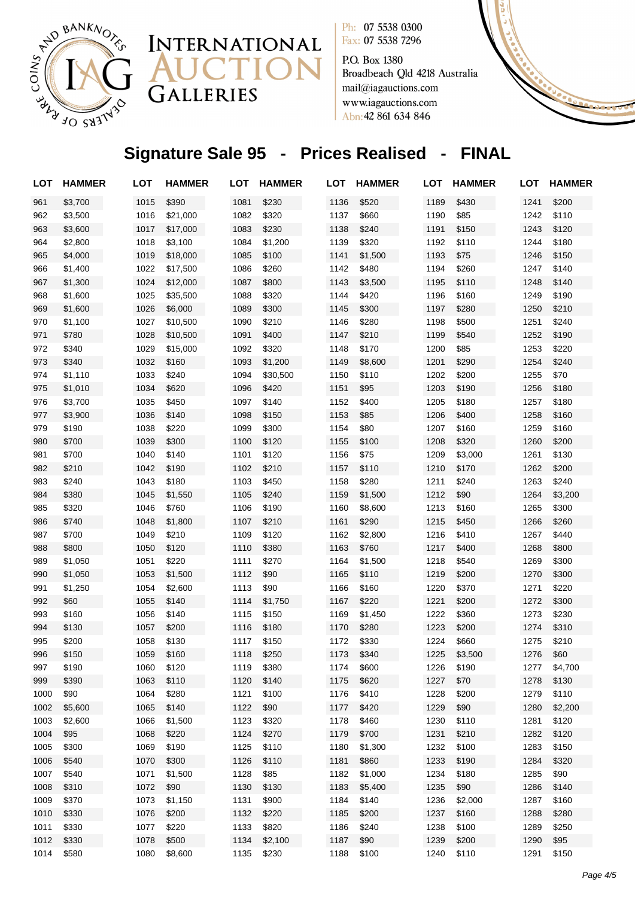

GALLERIES



Fax: 07 5538 7296 P.O. Box 1380

Broadbeach Qld 4218 Australia mail@iagauctions.com www.iagauctions.com Abn: 42 861 634 846

# **Signature Sale 95 - Prices Realised - FINAL**

| LOT  | <b>HAMMER</b> | LOT  | <b>HAMMER</b> | LOT  | <b>HAMMER</b> | LOT  | <b>HAMMER</b> | LOT  | <b>HAMMER</b> | LOT  | <b>HAMMER</b> |
|------|---------------|------|---------------|------|---------------|------|---------------|------|---------------|------|---------------|
| 961  | \$3,700       | 1015 | \$390         | 1081 | \$230         | 1136 | \$520         | 1189 | \$430         | 1241 | \$200         |
| 962  | \$3,500       | 1016 | \$21,000      | 1082 | \$320         | 1137 | \$660         | 1190 | \$85          | 1242 | \$110         |
| 963  | \$3,600       | 1017 | \$17,000      | 1083 | \$230         | 1138 | \$240         | 1191 | \$150         | 1243 | \$120         |
| 964  | \$2,800       | 1018 | \$3,100       | 1084 | \$1,200       | 1139 | \$320         | 1192 | \$110         | 1244 | \$180         |
| 965  | \$4,000       | 1019 | \$18,000      | 1085 | \$100         | 1141 | \$1,500       | 1193 | \$75          | 1246 | \$150         |
| 966  | \$1,400       | 1022 | \$17,500      | 1086 | \$260         | 1142 | \$480         | 1194 | \$260         | 1247 | \$140         |
| 967  | \$1,300       | 1024 | \$12,000      | 1087 | \$800         | 1143 | \$3,500       | 1195 | \$110         | 1248 | \$140         |
| 968  | \$1,600       | 1025 | \$35,500      | 1088 | \$320         | 1144 | \$420         | 1196 | \$160         | 1249 | \$190         |
| 969  | \$1,600       | 1026 | \$6,000       | 1089 | \$300         | 1145 | \$300         | 1197 | \$280         | 1250 | \$210         |
| 970  | \$1,100       | 1027 | \$10,500      | 1090 | \$210         | 1146 | \$280         | 1198 | \$500         | 1251 | \$240         |
| 971  | \$780         | 1028 | \$10,500      | 1091 | \$400         | 1147 | \$210         | 1199 | \$540         | 1252 | \$190         |
| 972  | \$340         | 1029 | \$15,000      | 1092 | \$320         | 1148 | \$170         | 1200 | \$85          | 1253 | \$220         |
| 973  | \$340         | 1032 | \$160         | 1093 | \$1,200       | 1149 | \$8,600       | 1201 | \$290         | 1254 | \$240         |
| 974  | \$1,110       | 1033 | \$240         | 1094 | \$30,500      | 1150 | \$110         | 1202 | \$200         | 1255 | \$70          |
| 975  | \$1,010       | 1034 | \$620         | 1096 | \$420         | 1151 | \$95          | 1203 | \$190         | 1256 | \$180         |
| 976  | \$3,700       | 1035 | \$450         | 1097 | \$140         | 1152 | \$400         | 1205 | \$180         | 1257 | \$180         |
| 977  | \$3,900       | 1036 | \$140         | 1098 | \$150         | 1153 | \$85          | 1206 | \$400         | 1258 | \$160         |
| 979  | \$190         | 1038 | \$220         | 1099 | \$300         | 1154 | \$80          | 1207 | \$160         | 1259 | \$160         |
| 980  | \$700         | 1039 | \$300         | 1100 | \$120         | 1155 | \$100         | 1208 | \$320         | 1260 | \$200         |
| 981  | \$700         | 1040 | \$140         | 1101 | \$120         | 1156 | \$75          | 1209 | \$3,000       | 1261 | \$130         |
| 982  | \$210         | 1042 | \$190         | 1102 | \$210         | 1157 | \$110         | 1210 | \$170         | 1262 | \$200         |
| 983  | \$240         | 1043 | \$180         | 1103 | \$450         | 1158 | \$280         | 1211 | \$240         | 1263 | \$240         |
| 984  | \$380         | 1045 | \$1,550       | 1105 | \$240         | 1159 | \$1,500       | 1212 | \$90          | 1264 | \$3,200       |
| 985  | \$320         | 1046 | \$760         | 1106 | \$190         | 1160 | \$8,600       | 1213 | \$160         | 1265 | \$300         |
| 986  | \$740         | 1048 | \$1,800       | 1107 | \$210         | 1161 | \$290         | 1215 | \$450         | 1266 | \$260         |
| 987  | \$700         | 1049 | \$210         | 1109 | \$120         | 1162 | \$2,800       | 1216 | \$410         | 1267 | \$440         |
| 988  | \$800         | 1050 | \$120         | 1110 | \$380         | 1163 | \$760         | 1217 | \$400         | 1268 | \$800         |
| 989  | \$1,050       | 1051 | \$220         | 1111 | \$270         | 1164 | \$1,500       | 1218 | \$540         | 1269 | \$300         |
| 990  | \$1,050       | 1053 | \$1,500       | 1112 | \$90          | 1165 | \$110         | 1219 | \$200         | 1270 | \$300         |
| 991  | \$1,250       | 1054 | \$2,600       | 1113 | \$90          | 1166 | \$160         | 1220 | \$370         | 1271 | \$220         |
| 992  | \$60          | 1055 | \$140         | 1114 | \$1,750       | 1167 | \$220         | 1221 | \$200         | 1272 | \$300         |
| 993  | \$160         | 1056 | \$140         | 1115 | \$150         | 1169 | \$1,450       | 1222 | \$360         | 1273 | \$230         |
| 994  | \$130         | 1057 | \$200         | 1116 | \$180         | 1170 | \$280         | 1223 | \$200         | 1274 | \$310         |
| 995  | \$200         | 1058 | \$130         | 1117 | \$150         | 1172 | \$330         | 1224 | \$660         | 1275 | \$210         |
| 996  | \$150         | 1059 | \$160         | 1118 | \$250         | 1173 | \$340         | 1225 | \$3,500       | 1276 | \$60          |
| 997  | \$190         | 1060 | \$120         | 1119 | \$380         | 1174 | \$600         | 1226 | \$190         | 1277 | \$4,700       |
| 999  | \$390         | 1063 | \$110         | 1120 | \$140         | 1175 | \$620         | 1227 | \$70          | 1278 | \$130         |
| 1000 | \$90          | 1064 | \$280         | 1121 | \$100         | 1176 | \$410         | 1228 | \$200         | 1279 | \$110         |
| 1002 | \$5,600       | 1065 | \$140         | 1122 | \$90          | 1177 | \$420         | 1229 | \$90          | 1280 | \$2,200       |
| 1003 | \$2,600       | 1066 | \$1,500       | 1123 | \$320         | 1178 | \$460         | 1230 | \$110         | 1281 | \$120         |
| 1004 | \$95          | 1068 | \$220         | 1124 | \$270         | 1179 | \$700         | 1231 | \$210         | 1282 | \$120         |
| 1005 | \$300         | 1069 | \$190         | 1125 | \$110         | 1180 | \$1,300       | 1232 | \$100         | 1283 | \$150         |
| 1006 | \$540         | 1070 | \$300         | 1126 | \$110         | 1181 | \$860         | 1233 | \$190         | 1284 | \$320         |
| 1007 | \$540         | 1071 | \$1,500       | 1128 | \$85          | 1182 | \$1,000       | 1234 | \$180         | 1285 | \$90          |
| 1008 | \$310         | 1072 | \$90          | 1130 | \$130         | 1183 | \$5,400       | 1235 | \$90          | 1286 | \$140         |
| 1009 | \$370         | 1073 | \$1,150       | 1131 | \$900         | 1184 | \$140         | 1236 | \$2,000       | 1287 | \$160         |
| 1010 | \$330         | 1076 | \$200         | 1132 | \$220         | 1185 | \$200         | 1237 | \$160         | 1288 | \$280         |
| 1011 | \$330         | 1077 | \$220         | 1133 | \$820         | 1186 | \$240         | 1238 | \$100         | 1289 | \$250         |
| 1012 | \$330         | 1078 | \$500         | 1134 | \$2,100       | 1187 | \$90          | 1239 | \$200         | 1290 | \$95          |
| 1014 | \$580         | 1080 | \$8,600       | 1135 | \$230         | 1188 | \$100         | 1240 | \$110         | 1291 | \$150         |